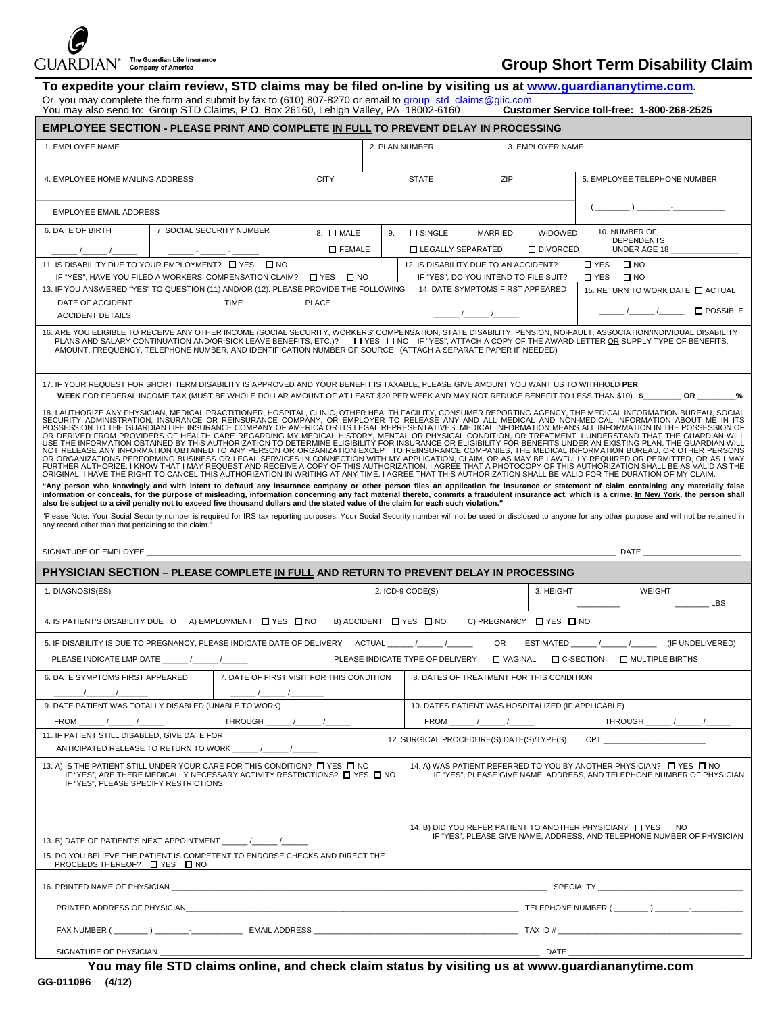## $\overline{\text{GUARDIAN}}^\circ$  The Guardian Life Insurance

## **Group Short Term Disability Claim**

|                                                                                                                                                                                                                                                                                                                                                                                      | To expedite your claim review, STD claims may be filed on-line by visiting us at www.quardiananytime.com.<br>Or, you may complete the form and submit by fax to (610) 807-8270 or email to group_std_claims@glic.com                                                          |                                                                                                                                                                                                                                                                                                                                                                    |                                                                                                                                         |                                          |           |                                                                                                                                                                  |  |  |  |
|--------------------------------------------------------------------------------------------------------------------------------------------------------------------------------------------------------------------------------------------------------------------------------------------------------------------------------------------------------------------------------------|-------------------------------------------------------------------------------------------------------------------------------------------------------------------------------------------------------------------------------------------------------------------------------|--------------------------------------------------------------------------------------------------------------------------------------------------------------------------------------------------------------------------------------------------------------------------------------------------------------------------------------------------------------------|-----------------------------------------------------------------------------------------------------------------------------------------|------------------------------------------|-----------|------------------------------------------------------------------------------------------------------------------------------------------------------------------|--|--|--|
| You may also send to: Group STD Claims, P.O. Box 26160, Lehigh Valley, PA 18002-6160<br>Customer Service toll-free: 1-800-268-2525<br><b>EMPLOYEE SECTION - PLEASE PRINT AND COMPLETE IN FULL TO PREVENT DELAY IN PROCESSING</b>                                                                                                                                                     |                                                                                                                                                                                                                                                                               |                                                                                                                                                                                                                                                                                                                                                                    |                                                                                                                                         |                                          |           |                                                                                                                                                                  |  |  |  |
| 1. EMPLOYEE NAME<br>2. PLAN NUMBER<br>3. EMPLOYER NAME                                                                                                                                                                                                                                                                                                                               |                                                                                                                                                                                                                                                                               |                                                                                                                                                                                                                                                                                                                                                                    |                                                                                                                                         |                                          |           |                                                                                                                                                                  |  |  |  |
|                                                                                                                                                                                                                                                                                                                                                                                      |                                                                                                                                                                                                                                                                               |                                                                                                                                                                                                                                                                                                                                                                    |                                                                                                                                         |                                          |           |                                                                                                                                                                  |  |  |  |
| 4. EMPLOYEE HOME MAILING ADDRESS                                                                                                                                                                                                                                                                                                                                                     |                                                                                                                                                                                                                                                                               | <b>CITY</b>                                                                                                                                                                                                                                                                                                                                                        |                                                                                                                                         | <b>STATE</b>                             | ZIP       | 5. EMPLOYEE TELEPHONE NUMBER                                                                                                                                     |  |  |  |
| <b>EMPLOYEE EMAIL ADDRESS</b>                                                                                                                                                                                                                                                                                                                                                        |                                                                                                                                                                                                                                                                               |                                                                                                                                                                                                                                                                                                                                                                    |                                                                                                                                         |                                          |           | $\lambda$ $\sim$                                                                                                                                                 |  |  |  |
| 6. DATE OF BIRTH                                                                                                                                                                                                                                                                                                                                                                     | 7. SOCIAL SECURITY NUMBER                                                                                                                                                                                                                                                     | 10. NUMBER OF<br>8. O MALE<br>$\square$ SINGLE<br>$\Box$ MARRIED<br>$\square$ WIDOWED<br>9.<br><b>DEPENDENTS</b><br>$\square$ FEMALE<br><b>LEGALLY SEPARATED</b><br>□ DIVORCED<br>UNDER AGE 18                                                                                                                                                                     |                                                                                                                                         |                                          |           |                                                                                                                                                                  |  |  |  |
|                                                                                                                                                                                                                                                                                                                                                                                      | 11. IS DISABILITY DUE TO YOUR EMPLOYMENT? IT YES IT NO<br>$\Box$ YES<br>12. IS DISABILITY DUE TO AN ACCIDENT?<br>$\square$ NO<br>IF "YES", HAVE YOU FILED A WORKERS' COMPENSATION CLAIM? □ YES □ NO<br>IF "YES", DO YOU INTEND TO FILE SUIT?<br>$\Box$ YES $\Box$ NO          |                                                                                                                                                                                                                                                                                                                                                                    |                                                                                                                                         |                                          |           |                                                                                                                                                                  |  |  |  |
|                                                                                                                                                                                                                                                                                                                                                                                      | 13. IF YOU ANSWERED "YES" TO QUESTION (11) AND/OR (12), PLEASE PROVIDE THE FOLLOWING                                                                                                                                                                                          |                                                                                                                                                                                                                                                                                                                                                                    |                                                                                                                                         | 14. DATE SYMPTOMS FIRST APPEARED         |           | 15. RETURN TO WORK DATE [ ACTUAL                                                                                                                                 |  |  |  |
| DATE OF ACCIDENT<br><b>ACCIDENT DETAILS</b>                                                                                                                                                                                                                                                                                                                                          | <b>TIME</b>                                                                                                                                                                                                                                                                   | <b>PLACE</b>                                                                                                                                                                                                                                                                                                                                                       |                                                                                                                                         |                                          |           | $\square$ POSSIBLE                                                                                                                                               |  |  |  |
|                                                                                                                                                                                                                                                                                                                                                                                      | PLANS AND SALARY CONTINUATION AND/OR SICK LEAVE BENEFITS, ETC.)? [ YES IN O IF "YES", ATTACH A COPY OF THE AWARD LETTER OR SUPPLY TYPE OF BENEFITS,<br>AMOUNT, FREQUENCY, TELEPHONE NUMBER, AND IDENTIFICATION NUMBER OF SOURCE (ATTACH A SEPARATE PAPER IF NEEDED)           |                                                                                                                                                                                                                                                                                                                                                                    |                                                                                                                                         |                                          |           | 16. ARE YOU ELIGIBLE TO RECEIVE ANY OTHER INCOME (SOCIAL SECURITY, WORKERS' COMPENSATION, STATE DISABILITY, PENSION, NO-FAULT, ASSOCIATION/INDIVIDUAL DISABILITY |  |  |  |
|                                                                                                                                                                                                                                                                                                                                                                                      | 17. IF YOUR REQUEST FOR SHORT TERM DISABILITY IS APPROVED AND YOUR BENEFIT IS TAXABLE, PLEASE GIVE AMOUNT YOU WANT US TO WITHHOLD PER<br>WEEK FOR FEDERAL INCOME TAX (MUST BE WHOLE DOLLAR AMOUNT OF AT LEAST \$20 PER WEEK AND MAY NOT REDUCE BENEFIT TO LESS THAN \$10). \$ |                                                                                                                                                                                                                                                                                                                                                                    |                                                                                                                                         |                                          |           | OR<br>%                                                                                                                                                          |  |  |  |
| 18. I AUTHORIZE ANY PHYSICIAN, MEDICAL PRACTITIONER, HOSPITAL, CLINIC, OTHER HEALTH FACILITY, CONSUMER REPORTING AGENCY, THE MEDICAL INFORMATION BUREAU, SOCIAL SOCIAL ESSECURITY ADMINISTRATION COMPANY OF ANERGAL COMPANY, O                                                                                                                                                       |                                                                                                                                                                                                                                                                               |                                                                                                                                                                                                                                                                                                                                                                    |                                                                                                                                         |                                          |           |                                                                                                                                                                  |  |  |  |
| "Any person who knowingly and with intent to defraud any insurance company or other person files an application for insurance or statement of claim containing any materially false<br>information or conceals, for the purpose of misleading, information concerning any fact material thereto, commits a fraudulent insurance act, which is a crime. In New York, the person shall |                                                                                                                                                                                                                                                                               |                                                                                                                                                                                                                                                                                                                                                                    |                                                                                                                                         |                                          |           |                                                                                                                                                                  |  |  |  |
|                                                                                                                                                                                                                                                                                                                                                                                      | also be subject to a civil penalty not to exceed five thousand dollars and the stated value of the claim for each such violation."                                                                                                                                            |                                                                                                                                                                                                                                                                                                                                                                    |                                                                                                                                         |                                          |           |                                                                                                                                                                  |  |  |  |
|                                                                                                                                                                                                                                                                                                                                                                                      | "Please Note: Your Social Security number is required for IRS tax reporting purposes. Your Social Security number will not be used or disclosed to anyone for any other purpose and will not be retained in<br>any record other than that pertaining to the claim."           |                                                                                                                                                                                                                                                                                                                                                                    |                                                                                                                                         |                                          |           |                                                                                                                                                                  |  |  |  |
| <b>DATE</b><br>SIGNATURE OF EMPLOYEE                                                                                                                                                                                                                                                                                                                                                 |                                                                                                                                                                                                                                                                               |                                                                                                                                                                                                                                                                                                                                                                    |                                                                                                                                         |                                          |           |                                                                                                                                                                  |  |  |  |
|                                                                                                                                                                                                                                                                                                                                                                                      | PHYSICIAN SECTION - PLEASE COMPLETE IN FULL AND RETURN TO PREVENT DELAY IN PROCESSING                                                                                                                                                                                         |                                                                                                                                                                                                                                                                                                                                                                    |                                                                                                                                         |                                          |           |                                                                                                                                                                  |  |  |  |
| 1. DIAGNOSIS(ES)                                                                                                                                                                                                                                                                                                                                                                     |                                                                                                                                                                                                                                                                               |                                                                                                                                                                                                                                                                                                                                                                    |                                                                                                                                         | 2. ICD-9 CODE(S)                         | 3. HEIGHT | <b>WEIGHT</b><br><b>LBS</b>                                                                                                                                      |  |  |  |
|                                                                                                                                                                                                                                                                                                                                                                                      |                                                                                                                                                                                                                                                                               |                                                                                                                                                                                                                                                                                                                                                                    |                                                                                                                                         |                                          |           |                                                                                                                                                                  |  |  |  |
|                                                                                                                                                                                                                                                                                                                                                                                      | 4. IS PATIENT'S DISABILITY DUE TO A) EMPLOYMENT TYES TINO<br>B) ACCIDENT □ YES □ NO<br>C) PREGNANCY □ YES □ NO<br><b>OR</b><br>ESTIMATED / /<br>5. IF DISABILITY IS DUE TO PREGNANCY, PLEASE INDICATE DATE OF DELIVERY ACTUAL _____/_____/__________<br>(IF UNDELIVERED)      |                                                                                                                                                                                                                                                                                                                                                                    |                                                                                                                                         |                                          |           |                                                                                                                                                                  |  |  |  |
| PLEASE INDICATE TYPE OF DELIVERY<br>$\Box$ C-SECTION<br><b>LI MULTIPLE BIRTHS</b><br>□ VAGINAL                                                                                                                                                                                                                                                                                       |                                                                                                                                                                                                                                                                               |                                                                                                                                                                                                                                                                                                                                                                    |                                                                                                                                         |                                          |           |                                                                                                                                                                  |  |  |  |
| 6. DATE SYMPTOMS FIRST APPEARED<br>$\sqrt{2}$                                                                                                                                                                                                                                                                                                                                        | 7. DATE OF FIRST VISIT FOR THIS CONDITION                                                                                                                                                                                                                                     |                                                                                                                                                                                                                                                                                                                                                                    |                                                                                                                                         | 8. DATES OF TREATMENT FOR THIS CONDITION |           |                                                                                                                                                                  |  |  |  |
|                                                                                                                                                                                                                                                                                                                                                                                      |                                                                                                                                                                                                                                                                               |                                                                                                                                                                                                                                                                                                                                                                    |                                                                                                                                         |                                          |           |                                                                                                                                                                  |  |  |  |
| 9. DATE PATIENT WAS TOTALLY DISABLED (UNABLE TO WORK)<br>10. DATES PATIENT WAS HOSPITALIZED (IF APPLICABLE)<br>THROUGH<br><b>FROM</b>                                                                                                                                                                                                                                                |                                                                                                                                                                                                                                                                               |                                                                                                                                                                                                                                                                                                                                                                    |                                                                                                                                         |                                          |           |                                                                                                                                                                  |  |  |  |
| 11. IF PATIENT STILL DISABLED. GIVE DATE FOR<br>ANTICIPATED RELEASE TO RETURN TO WORK                                                                                                                                                                                                                                                                                                |                                                                                                                                                                                                                                                                               |                                                                                                                                                                                                                                                                                                                                                                    |                                                                                                                                         |                                          |           | <b>CPT</b>                                                                                                                                                       |  |  |  |
| IF "YES", PLEASE SPECIFY RESTRICTIONS:                                                                                                                                                                                                                                                                                                                                               |                                                                                                                                                                                                                                                                               | THROUGH /<br>12. SURGICAL PROCEDURE(S) DATE(S)/TYPE(S)<br>13. A) IS THE PATIENT STILL UNDER YOUR CARE FOR THIS CONDITION? □ YES □ NO<br>14. A) WAS PATIENT REFERRED TO YOU BY ANOTHER PHYSICIAN? □ YES □ NO<br>IF "YES", PLEASE GIVE NAME, ADDRESS, AND TELEPHONE NUMBER OF PHYSICIAN<br>IF "YES", ARE THERE MEDICALLY NECESSARY ACTIVITY RESTRICTIONS? □ YES □ NO |                                                                                                                                         |                                          |           |                                                                                                                                                                  |  |  |  |
|                                                                                                                                                                                                                                                                                                                                                                                      |                                                                                                                                                                                                                                                                               |                                                                                                                                                                                                                                                                                                                                                                    |                                                                                                                                         |                                          |           |                                                                                                                                                                  |  |  |  |
|                                                                                                                                                                                                                                                                                                                                                                                      |                                                                                                                                                                                                                                                                               |                                                                                                                                                                                                                                                                                                                                                                    | 14. B) DID YOU REFER PATIENT TO ANOTHER PHYSICIAN? □ YES □ NO<br>IF "YES", PLEASE GIVE NAME, ADDRESS, AND TELEPHONE NUMBER OF PHYSICIAN |                                          |           |                                                                                                                                                                  |  |  |  |
| 13. B) DATE OF PATIENT'S NEXT APPOINTMENT _______ /______ /_______<br>15. DO YOU BELIEVE THE PATIENT IS COMPETENT TO ENDORSE CHECKS AND DIRECT THE<br>PROCEEDS THEREOF? □ YES □ NO                                                                                                                                                                                                   |                                                                                                                                                                                                                                                                               |                                                                                                                                                                                                                                                                                                                                                                    |                                                                                                                                         |                                          |           |                                                                                                                                                                  |  |  |  |
| 16. PRINTED NAME OF PHYSICIAN                                                                                                                                                                                                                                                                                                                                                        |                                                                                                                                                                                                                                                                               |                                                                                                                                                                                                                                                                                                                                                                    |                                                                                                                                         |                                          |           |                                                                                                                                                                  |  |  |  |
|                                                                                                                                                                                                                                                                                                                                                                                      |                                                                                                                                                                                                                                                                               |                                                                                                                                                                                                                                                                                                                                                                    |                                                                                                                                         |                                          |           |                                                                                                                                                                  |  |  |  |
|                                                                                                                                                                                                                                                                                                                                                                                      |                                                                                                                                                                                                                                                                               |                                                                                                                                                                                                                                                                                                                                                                    |                                                                                                                                         |                                          |           |                                                                                                                                                                  |  |  |  |
| SIGNATURE OF PHYSICIAN                                                                                                                                                                                                                                                                                                                                                               |                                                                                                                                                                                                                                                                               |                                                                                                                                                                                                                                                                                                                                                                    |                                                                                                                                         |                                          | DATE_     |                                                                                                                                                                  |  |  |  |
|                                                                                                                                                                                                                                                                                                                                                                                      | You may file STD claims online, and check claim status by visiting us at www.guardiananytime.com                                                                                                                                                                              |                                                                                                                                                                                                                                                                                                                                                                    |                                                                                                                                         |                                          |           |                                                                                                                                                                  |  |  |  |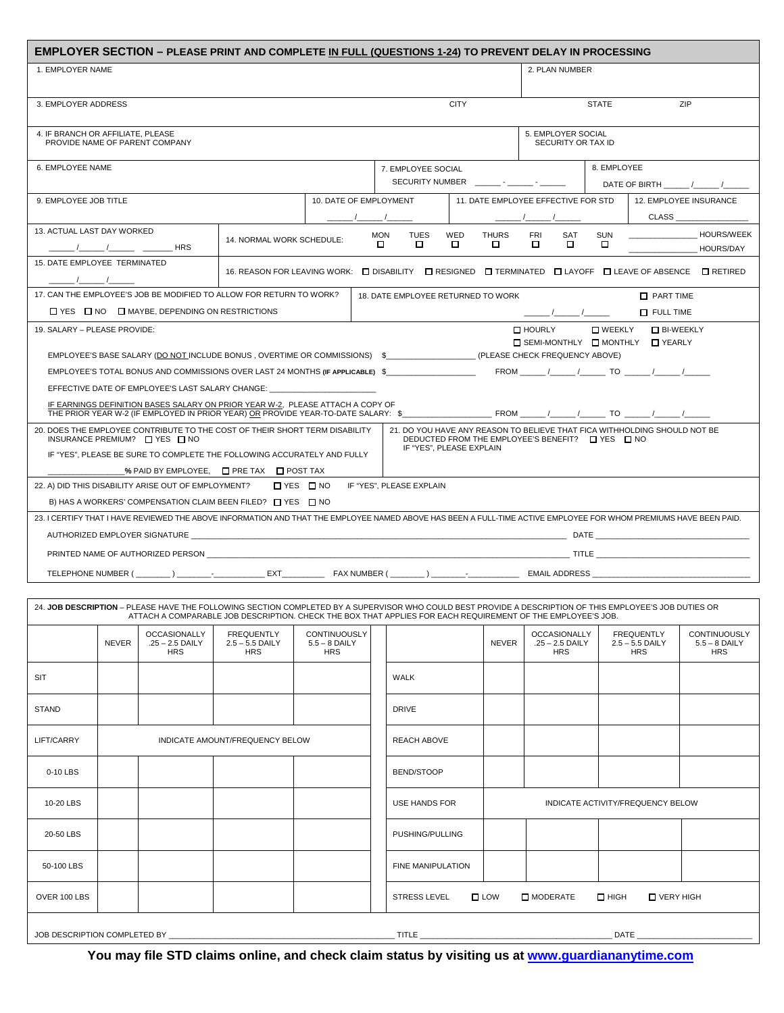|                                                                                                                             |                     |                                                              | EMPLOYER SECTION - PLEASE PRINT AND COMPLETE IN FULL (QUESTIONS 1-24) TO PREVENT DELAY IN PROCESSING                                                                                                                                                                   |                                               |                 |                                                                                     |          |                                                        |                                                                                                                               |                  |                                                      |                                               |  |
|-----------------------------------------------------------------------------------------------------------------------------|---------------------|--------------------------------------------------------------|------------------------------------------------------------------------------------------------------------------------------------------------------------------------------------------------------------------------------------------------------------------------|-----------------------------------------------|-----------------|-------------------------------------------------------------------------------------|----------|--------------------------------------------------------|-------------------------------------------------------------------------------------------------------------------------------|------------------|------------------------------------------------------|-----------------------------------------------|--|
| 1. EMPLOYER NAME                                                                                                            |                     |                                                              |                                                                                                                                                                                                                                                                        |                                               |                 |                                                                                     |          |                                                        | 2. PLAN NUMBER                                                                                                                |                  |                                                      |                                               |  |
|                                                                                                                             | 3. EMPLOYER ADDRESS |                                                              |                                                                                                                                                                                                                                                                        |                                               |                 | <b>CITY</b>                                                                         |          |                                                        | <b>STATE</b><br>ZIP                                                                                                           |                  |                                                      |                                               |  |
| 4. IF BRANCH OR AFFILIATE, PLEASE                                                                                           |                     | PROVIDE NAME OF PARENT COMPANY                               |                                                                                                                                                                                                                                                                        |                                               |                 |                                                                                     |          |                                                        | 5. EMPLOYER SOCIAL<br>SECURITY OR TAX ID                                                                                      |                  |                                                      |                                               |  |
| 6. EMPLOYEE NAME                                                                                                            |                     |                                                              |                                                                                                                                                                                                                                                                        |                                               |                 | 7. EMPLOYEE SOCIAL                                                                  |          |                                                        | 8. EMPLOYEE                                                                                                                   |                  |                                                      |                                               |  |
|                                                                                                                             |                     |                                                              |                                                                                                                                                                                                                                                                        |                                               |                 |                                                                                     |          |                                                        | DATE OF BIRTH / /                                                                                                             |                  |                                                      |                                               |  |
| 9. EMPLOYEE JOB TITLE                                                                                                       |                     |                                                              |                                                                                                                                                                                                                                                                        | 10. DATE OF EMPLOYMENT<br>_ /___<br>__ /_     |                 |                                                                                     |          | 11. DATE EMPLOYEE EFFECTIVE FOR STD<br>CLASS<br>_ /___ |                                                                                                                               |                  | 12. EMPLOYEE INSURANCE                               |                                               |  |
| 13. ACTUAL LAST DAY WORKED                                                                                                  |                     | <b>HRS</b>                                                   | 14. NORMAL WORK SCHEDULE:                                                                                                                                                                                                                                              |                                               | <b>MON</b><br>0 | <b>TUES</b><br>□                                                                    | WED<br>□ | <b>THURS</b>                                           | <b>FRI</b><br>SAT<br>□                                                                                                        | <b>SUN</b><br>D. |                                                      | <b>HOURS/WEEK</b><br><b>HOURS/DAY</b>         |  |
| 15. DATE EMPLOYEE TERMINATED<br>$\sqrt{1}$                                                                                  |                     |                                                              | 16. REASON FOR LEAVING WORK: □ DISABILITY □ RESIGNED □ TERMINATED □ LAYOFF □ LEAVE OF ABSENCE □ RETIRED                                                                                                                                                                |                                               |                 |                                                                                     |          |                                                        |                                                                                                                               |                  |                                                      |                                               |  |
|                                                                                                                             |                     |                                                              | 17. CAN THE EMPLOYEE'S JOB BE MODIFIED TO ALLOW FOR RETURN TO WORK?                                                                                                                                                                                                    |                                               |                 |                                                                                     |          |                                                        |                                                                                                                               |                  | <b>T</b> PART TIME                                   |                                               |  |
|                                                                                                                             |                     | $\Box$ YES $\Box$ NO $\Box$ MAYBE, DEPENDING ON RESTRICTIONS |                                                                                                                                                                                                                                                                        |                                               |                 | 18. DATE EMPLOYEE RETURNED TO WORK<br><b>T</b> FULL TIME<br>$\frac{1}{\sqrt{2\pi}}$ |          |                                                        |                                                                                                                               |                  |                                                      |                                               |  |
|                                                                                                                             |                     |                                                              |                                                                                                                                                                                                                                                                        |                                               |                 |                                                                                     |          |                                                        | □ HOURLY                                                                                                                      |                  |                                                      |                                               |  |
| <b>D</b> BI-WEEKLY<br>19. SALARY - PLEASE PROVIDE:<br>$\square$ WEEKLY<br>□ SEMI-MONTHLY □ MONTHLY □ YEARLY                 |                     |                                                              |                                                                                                                                                                                                                                                                        |                                               |                 |                                                                                     |          |                                                        |                                                                                                                               |                  |                                                      |                                               |  |
| EMPLOYEE'S BASE SALARY (DO NOT INCLUDE BONUS, OVERTIME OR COMMISSIONS) \$____________________(PLEASE CHECK FREQUENCY ABOVE) |                     |                                                              |                                                                                                                                                                                                                                                                        |                                               |                 |                                                                                     |          |                                                        |                                                                                                                               |                  |                                                      |                                               |  |
|                                                                                                                             |                     |                                                              | EMPLOYEE'S TOTAL BONUS AND COMMISSIONS OVER LAST 24 MONTHS (IF APPLICABLE) \$                                                                                                                                                                                          |                                               |                 |                                                                                     |          |                                                        | FROM $\frac{1}{\sqrt{2}}$ / TO $\frac{1}{\sqrt{2}}$ / $\frac{1}{\sqrt{2}}$                                                    |                  |                                                      |                                               |  |
|                                                                                                                             |                     | EFFECTIVE DATE OF EMPLOYEE'S LAST SALARY CHANGE:             |                                                                                                                                                                                                                                                                        |                                               |                 |                                                                                     |          |                                                        |                                                                                                                               |                  |                                                      |                                               |  |
|                                                                                                                             |                     |                                                              | IF EARNINGS DEFINITION BASES SALARY ON PRIOR YEAR W-2. PLEASE ATTACH A COPY OF                                                                                                                                                                                         |                                               |                 |                                                                                     |          |                                                        |                                                                                                                               |                  |                                                      |                                               |  |
|                                                                                                                             |                     | INSURANCE PREMIUM? $\Box$ YES $\Box$ NO                      | 20. DOES THE EMPLOYEE CONTRIBUTE TO THE COST OF THEIR SHORT TERM DISABILITY                                                                                                                                                                                            |                                               |                 |                                                                                     |          |                                                        | 21. DO YOU HAVE ANY REASON TO BELIEVE THAT FICA WITHHOLDING SHOULD NOT BE<br>DEDUCTED FROM THE EMPLOYEE'S BENEFIT? □ YES □ NO |                  |                                                      |                                               |  |
|                                                                                                                             |                     |                                                              | IF "YES", PLEASE BE SURE TO COMPLETE THE FOLLOWING ACCURATELY AND FULLY                                                                                                                                                                                                |                                               |                 | IF "YES", PLEASE EXPLAIN                                                            |          |                                                        |                                                                                                                               |                  |                                                      |                                               |  |
|                                                                                                                             |                     |                                                              |                                                                                                                                                                                                                                                                        |                                               |                 |                                                                                     |          |                                                        |                                                                                                                               |                  |                                                      |                                               |  |
|                                                                                                                             |                     | 22. A) DID THIS DISABILITY ARISE OUT OF EMPLOYMENT?          |                                                                                                                                                                                                                                                                        | □ YES □ NO                                    |                 | IF "YES", PLEASE EXPLAIN                                                            |          |                                                        |                                                                                                                               |                  |                                                      |                                               |  |
| B) HAS A WORKERS' COMPENSATION CLAIM BEEN FILED? $\Box$ YES $\Box$ NO                                                       |                     |                                                              |                                                                                                                                                                                                                                                                        |                                               |                 |                                                                                     |          |                                                        |                                                                                                                               |                  |                                                      |                                               |  |
|                                                                                                                             |                     |                                                              | 23. I CERTIFY THAT I HAVE REVIEWED THE ABOVE INFORMATION AND THAT THE EMPLOYEE NAMED ABOVE HAS BEEN A FULL-TIME ACTIVE EMPLOYEE FOR WHOM PREMIUMS HAVE BEEN PAID.                                                                                                      |                                               |                 |                                                                                     |          |                                                        |                                                                                                                               |                  |                                                      |                                               |  |
|                                                                                                                             |                     |                                                              |                                                                                                                                                                                                                                                                        |                                               |                 |                                                                                     |          |                                                        |                                                                                                                               |                  |                                                      |                                               |  |
| PRINTED NAME OF AUTHORIZED PERSON THE RESIDENCE OF A SERIES AND THE SERIES OF A SERIES OF AUTHORIZED PERSON TITLE           |                     |                                                              |                                                                                                                                                                                                                                                                        |                                               |                 |                                                                                     |          |                                                        |                                                                                                                               |                  |                                                      |                                               |  |
|                                                                                                                             |                     |                                                              |                                                                                                                                                                                                                                                                        |                                               |                 |                                                                                     |          |                                                        |                                                                                                                               |                  |                                                      |                                               |  |
|                                                                                                                             |                     |                                                              |                                                                                                                                                                                                                                                                        |                                               |                 |                                                                                     |          |                                                        |                                                                                                                               |                  |                                                      |                                               |  |
|                                                                                                                             |                     |                                                              | 24. JOB DESCRIPTION - PLEASE HAVE THE FOLLOWING SECTION COMPLETED BY A SUPERVISOR WHO COULD BEST PROVIDE A DESCRIPTION OF THIS EMPLOYEE'S JOB DUTIES OR<br>ATTACH A COMPARABLE JOB DESCRIPTION. CHECK THE BOX THAT APPLIES FOR EACH REQUIREMENT OF THE EMPLOYEE'S JOB. |                                               |                 |                                                                                     |          |                                                        |                                                                                                                               |                  |                                                      |                                               |  |
|                                                                                                                             | <b>NEVER</b>        | <b>OCCASIONALLY</b><br>.25 - 2.5 DAILY<br><b>HRS</b>         | <b>FREQUENTLY</b><br>$2.5 - 5.5$ DAILY<br><b>HRS</b>                                                                                                                                                                                                                   | CONTINUOUSLY<br>$5.5 - 8$ DAILY<br><b>HRS</b> |                 |                                                                                     |          | <b>NEVER</b>                                           | <b>OCCASIONALLY</b><br>.25 - 2.5 DAILY<br><b>HRS</b>                                                                          |                  | <b>FREQUENTLY</b><br>$2.5 - 5.5$ DAILY<br><b>HRS</b> | CONTINUOUSLY<br>$5.5 - 8$ DAILY<br><b>HRS</b> |  |
| <b>SIT</b>                                                                                                                  |                     |                                                              |                                                                                                                                                                                                                                                                        |                                               |                 | WALK                                                                                |          |                                                        |                                                                                                                               |                  |                                                      |                                               |  |
| <b>STAND</b>                                                                                                                |                     |                                                              |                                                                                                                                                                                                                                                                        |                                               |                 | <b>DRIVE</b>                                                                        |          |                                                        |                                                                                                                               |                  |                                                      |                                               |  |
| LIFT/CARRY<br>INDICATE AMOUNT/FREQUENCY BELOW                                                                               |                     |                                                              |                                                                                                                                                                                                                                                                        |                                               |                 | <b>REACH ABOVE</b>                                                                  |          |                                                        |                                                                                                                               |                  |                                                      |                                               |  |
| 0-10 LBS                                                                                                                    |                     |                                                              |                                                                                                                                                                                                                                                                        |                                               |                 | BEND/STOOP                                                                          |          |                                                        |                                                                                                                               |                  |                                                      |                                               |  |
| 10-20 LBS                                                                                                                   |                     |                                                              |                                                                                                                                                                                                                                                                        |                                               |                 | USE HANDS FOR<br>INDICATE ACTIVITY/FREQUENCY BELOW                                  |          |                                                        |                                                                                                                               |                  |                                                      |                                               |  |
| 20-50 LBS                                                                                                                   |                     |                                                              |                                                                                                                                                                                                                                                                        |                                               |                 | PUSHING/PULLING                                                                     |          |                                                        |                                                                                                                               |                  |                                                      |                                               |  |
| 50-100 LBS                                                                                                                  |                     |                                                              |                                                                                                                                                                                                                                                                        |                                               |                 | FINE MANIPULATION                                                                   |          |                                                        |                                                                                                                               |                  |                                                      |                                               |  |
| OVER 100 LBS                                                                                                                |                     |                                                              |                                                                                                                                                                                                                                                                        |                                               |                 | <b>STRESS LEVEL</b>                                                                 |          | $\square$ LOW                                          | MODERATE                                                                                                                      | $\square$ HIGH   | □ VERY HIGH                                          |                                               |  |
| JOB DESCRIPTION COMPLETED BY __                                                                                             |                     |                                                              |                                                                                                                                                                                                                                                                        |                                               |                 | TITLE $\overline{\phantom{a}}$                                                      |          |                                                        |                                                                                                                               |                  | DATE_                                                |                                               |  |

**You may file STD claims online, and check claim status by visiting us at www.guardiananytime.com**